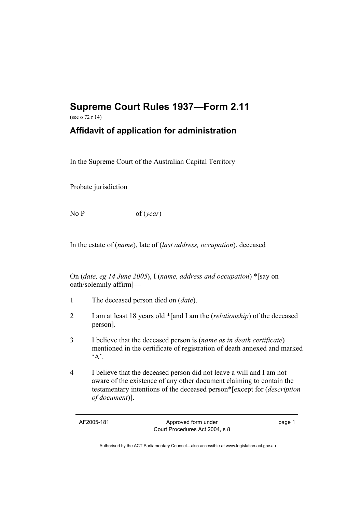## **Supreme Court Rules 1937—Form 2.11**

(see o 72 r 14)

## **Affidavit of application for administration**

In the Supreme Court of the Australian Capital Territory

Probate jurisdiction

No P of (*year*)

In the estate of (*name*), late of (*last address, occupation*), deceased

On (*date, eg 14 June 2005*), I (*name, address and occupation*) \*[say on oath/solemnly affirm]—

- 1 The deceased person died on (*date*).
- 2 I am at least 18 years old \*[and I am the (*relationship*) of the deceased person].
- 3 I believe that the deceased person is (*name as in death certificate*) mentioned in the certificate of registration of death annexed and marked  $A$
- 4 I believe that the deceased person did not leave a will and I am not aware of the existence of any other document claiming to contain the testamentary intentions of the deceased person\*[except for (*description of document*)].

AF2005-181 Approved form under Court Procedures Act 2004, s 8 page 1

Authorised by the ACT Parliamentary Counsel—also accessible at www.legislation.act.gov.au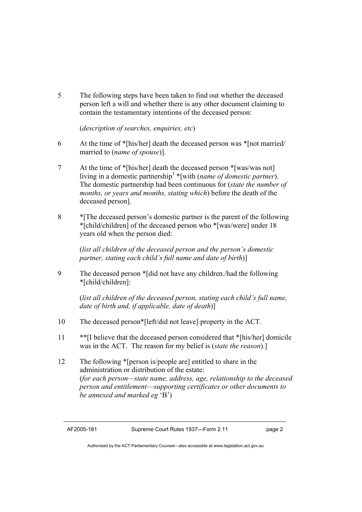5 The following steps have been taken to find out whether the deceased person left a will and whether there is any other document claiming to contain the testamentary intentions of the deceased person:

(*description of searches, enquiries, etc*)

- 6 At the time of \*[his/her] death the deceased person was \*[not married/ married to (*name of spouse*)].
- 7 At the time of \*[his/her] death the deceased person \*[was/was not] living in a domestic partnership1 \*[with (*name of domestic partner*). The domestic partnership had been continuous for (*state the number of months, or years and months, stating which*) before the death of the deceased person].
- 8 \*[The deceased person's domestic partner is the parent of the following \*[child/children] of the deceased person who \*[was/were] under 18 years old when the person died:

 (*list all children of the deceased person and the person's domestic partner, stating each child's full name and date of birth*)]

9 The deceased person \*[did not have any children./had the following \*[child/children]:

> (*list all children of the deceased person, stating each child's full name, date of birth and, if applicable, date of death*)]

- 10 The deceased person\*[left/did not leave] property in the ACT.
- 11 \*\*[I believe that the deceased person considered that \*[his/her] domicile was in the ACT. The reason for my belief is (*state the reason*).]
- 12 The following \*[person is/people are] entitled to share in the administration or distribution of the estate: (*for each person—state name, address, age, relationship to the deceased person and entitlement*—*supporting certificates or other documents to be annexed and marked eg* 'B')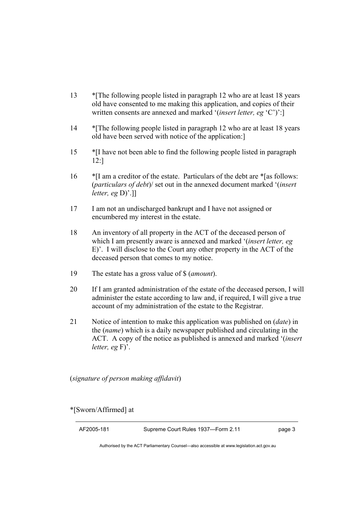- 13 \*[The following people listed in paragraph 12 who are at least 18 years old have consented to me making this application, and copies of their written consents are annexed and marked '(*insert letter, eg* 'C')':]
- 14 \*The following people listed in paragraph 12 who are at least 18 years old have been served with notice of the application:]
- 15 \*[I have not been able to find the following people listed in paragraph 12:]
- 16 \*[I am a creditor of the estate. Particulars of the debt are \*[as follows: (*particulars of debt*)/ set out in the annexed document marked '(*insert letter, eg* D)'.]]
- 17 I am not an undischarged bankrupt and I have not assigned or encumbered my interest in the estate.
- 18 An inventory of all property in the ACT of the deceased person of which I am presently aware is annexed and marked '(*insert letter, eg*  E)'. I will disclose to the Court any other property in the ACT of the deceased person that comes to my notice.
- 19 The estate has a gross value of \$ (*amount*).
- 20 If I am granted administration of the estate of the deceased person, I will administer the estate according to law and, if required, I will give a true account of my administration of the estate to the Registrar.
- 21 Notice of intention to make this application was published on (*date*) in the (*name*) which is a daily newspaper published and circulating in the ACT. A copy of the notice as published is annexed and marked '(*insert letter, eg* F)'.

(*signature of person making affidavit*)

\*[Sworn/Affirmed] at

AF2005-181 Supreme Court Rules 1937—Form 2.11 page 3

Authorised by the ACT Parliamentary Counsel—also accessible at www.legislation.act.gov.au